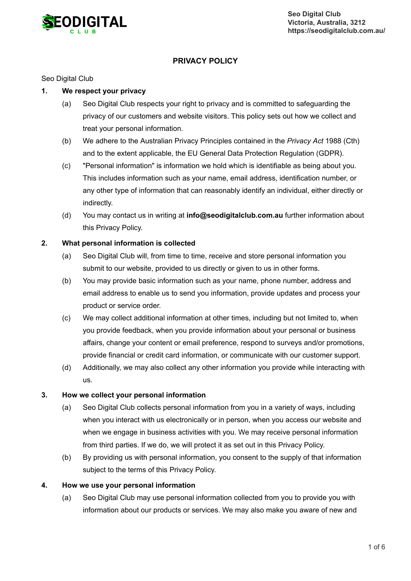

# **PRIVACY POLICY**

# Seo Digital Club

# **1. We respect your privacy**

- (a) Seo Digital Club respects your right to privacy and is committed to safeguarding the privacy of our customers and website visitors. This policy sets out how we collect and treat your personal information.
- (b) We adhere to the Australian Privacy Principles contained in the *Privacy Act* 1988 (Cth) and to the extent applicable, the EU General Data Protection Regulation (GDPR).
- (c) "Personal information" is information we hold which is identifiable as being about you. This includes information such as your name, email address, identification number, or any other type of information that can reasonably identify an individual, either directly or indirectly.
- (d) You may contact us in writing at **info@seodigitalclub.com.au** further information about this Privacy Policy.

#### **2. What personal information is collected**

- (a) Seo Digital Club will, from time to time, receive and store personal information you submit to our website, provided to us directly or given to us in other forms.
- (b) You may provide basic information such as your name, phone number, address and email address to enable us to send you information, provide updates and process your product or service order.
- (c) We may collect additional information at other times, including but not limited to, when you provide feedback, when you provide information about your personal or business affairs, change your content or email preference, respond to surveys and/or promotions, provide financial or credit card information, or communicate with our customer support.
- (d) Additionally, we may also collect any other information you provide while interacting with us.

# **3. How we collect your personal information**

- (a) Seo Digital Club collects personal information from you in a variety of ways, including when you interact with us electronically or in person, when you access our website and when we engage in business activities with you. We may receive personal information from third parties. If we do, we will protect it as set out in this Privacy Policy.
- (b) By providing us with personal information, you consent to the supply of that information subject to the terms of this Privacy Policy.

#### **4. How we use your personal information**

(a) Seo Digital Club may use personal information collected from you to provide you with information about our products or services. We may also make you aware of new and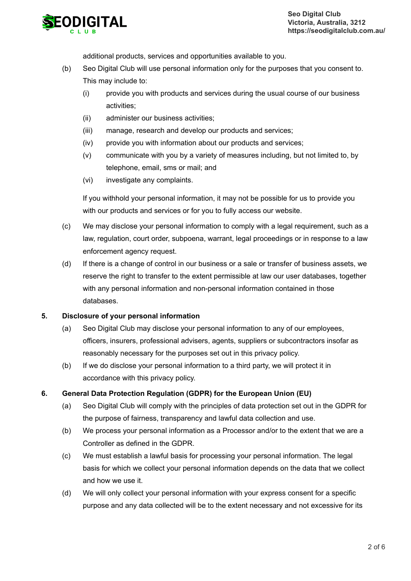

additional products, services and opportunities available to you.

- (b) Seo Digital Club will use personal information only for the purposes that you consent to. This may include to:
	- (i) provide you with products and services during the usual course of our business activities;
	- (ii) administer our business activities;
	- (iii) manage, research and develop our products and services;
	- (iv) provide you with information about our products and services;
	- (v) communicate with you by a variety of measures including, but not limited to, by telephone, email, sms or mail; and
	- (vi) investigate any complaints.

If you withhold your personal information, it may not be possible for us to provide you with our products and services or for you to fully access our website.

- $(c)$ We may disclose your personal information to comply with a legal requirement, such as a law, regulation, court order, subpoena, warrant, legal proceedings or in response to a law enforcement agency request.
- (d) If there is a change of control in our business or a sale or transfer of business assets, we reserve the right to transfer to the extent permissible at law our user databases, together with any personal information and non-personal information contained in those databases.

# **5. Disclosure of your personal information**

- (a) Seo Digital Club may disclose your personal information to any of our employees, officers, insurers, professional advisers, agents, suppliers or subcontractors insofar as reasonably necessary for the purposes set out in this privacy policy.
- (b) If we do disclose your personal information to a third party, we will protect it in accordance with this privacy policy.

# **6. General Data Protection Regulation (GDPR) for the European Union (EU)**

- (a) Seo Digital Club will comply with the principles of data protection set out in the GDPR for the purpose of fairness, transparency and lawful data collection and use.
- (b) We process your personal information as a Processor and/or to the extent that we are a Controller as defined in the GDPR.
- (c) We must establish a lawful basis for processing your personal information. The legal basis for which we collect your personal information depends on the data that we collect and how we use it.
- (d) We will only collect your personal information with your express consent for a specific purpose and any data collected will be to the extent necessary and not excessive for its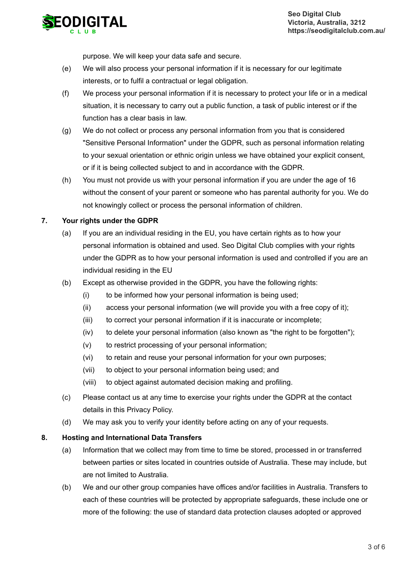

purpose. We will keep your data safe and secure.

- (e) We will also process your personal information if it is necessary for our legitimate interests, or to fulfil a contractual or legal obligation.
- (f) We process your personal information if it is necessary to protect your life or in a medical situation, it is necessary to carry out a public function, a task of public interest or if the function has a clear basis in law.
- (g) We do not collect or process any personal information from you that is considered "Sensitive Personal Information" under the GDPR, such as personal information relating to your sexual orientation or ethnic origin unless we have obtained your explicit consent, or if it is being collected subject to and in accordance with the GDPR.
- (h) You must not provide us with your personal information if you are under the age of 16 without the consent of your parent or someone who has parental authority for you. We do not knowingly collect or process the personal information of children.

#### **7. Your rights under the GDPR**

- (a) If you are an individual residing in the EU, you have certain rights as to how your personal information is obtained and used. Seo Digital Club complies with your rights under the GDPR as to how your personal information is used and controlled if you are an individual residing in the EU
- (b) Except as otherwise provided in the GDPR, you have the following rights:
	- (i) to be informed how your personal information is being used;
	- (ii) access your personal information (we will provide you with a free copy of it);
	- (iii) to correct your personal information if it is inaccurate or incomplete;
	- (iv) to delete your personal information (also known as "the right to be forgotten");
	- (v) to restrict processing of your personal information;
	- (vi) to retain and reuse your personal information for your own purposes;
	- (vii) to object to your personal information being used; and
	- (viii) to object against automated decision making and profiling.
- (c) Please contact us at any time to exercise your rights under the GDPR at the contact details in this Privacy Policy.
- (d) We may ask you to verify your identity before acting on any of your requests.

#### **8. Hosting and International Data Transfers**

- (a) Information that we collect may from time to time be stored, processed in or transferred between parties or sites located in countries outside of Australia. These may include, but are not limited to Australia.
- (b) We and our other group companies have offices and/or facilities in Australia. Transfers to each of these countries will be protected by appropriate safeguards, these include one or more of the following: the use of standard data protection clauses adopted or approved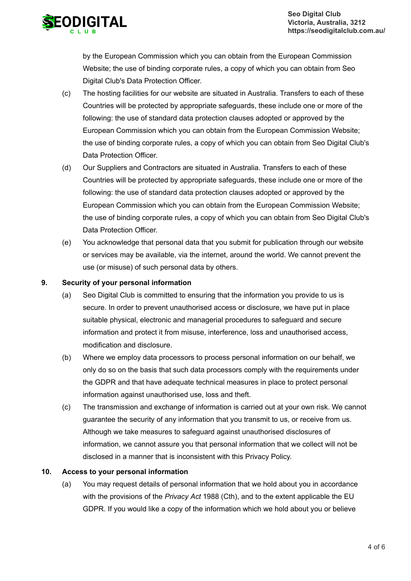

by the European Commission which you can obtain from the European Commission Website; the use of binding corporate rules, a copy of which you can obtain from Seo Digital Club's Data Protection Officer.

- (c) The hosting facilities for our website are situated in Australia. Transfers to each of these Countries will be protected by appropriate safeguards, these include one or more of the following: the use of standard data protection clauses adopted or approved by the European Commission which you can obtain from the European Commission Website; the use of binding corporate rules, a copy of which you can obtain from Seo Digital Club's Data Protection Officer.
- (d) Our Suppliers and Contractors are situated in Australia. Transfers to each of these Countries will be protected by appropriate safeguards, these include one or more of the following: the use of standard data protection clauses adopted or approved by the European Commission which you can obtain from the European Commission Website; the use of binding corporate rules, a copy of which you can obtain from Seo Digital Club's Data Protection Officer.
- (e) You acknowledge that personal data that you submit for publication through our website or services may be available, via the internet, around the world. We cannot prevent the use (or misuse) of such personal data by others.

# **9. Security of your personal information**

- (a) Seo Digital Club is committed to ensuring that the information you provide to us is secure. In order to prevent unauthorised access or disclosure, we have put in place suitable physical, electronic and managerial procedures to safeguard and secure information and protect it from misuse, interference, loss and unauthorised access, modification and disclosure.
- (b) Where we employ data processors to process personal information on our behalf, we only do so on the basis that such data processors comply with the requirements under the GDPR and that have adequate technical measures in place to protect personal information against unauthorised use, loss and theft.
- (c) The transmission and exchange of information is carried out at your own risk. We cannot guarantee the security of any information that you transmit to us, or receive from us. Although we take measures to safeguard against unauthorised disclosures of information, we cannot assure you that personal information that we collect will not be disclosed in a manner that is inconsistent with this Privacy Policy.

# **10. Access to your personal information**

(a) You may request details of personal information that we hold about you in accordance with the provisions of the *Privacy Act* 1988 (Cth), and to the extent applicable the EU GDPR. If you would like a copy of the information which we hold about you or believe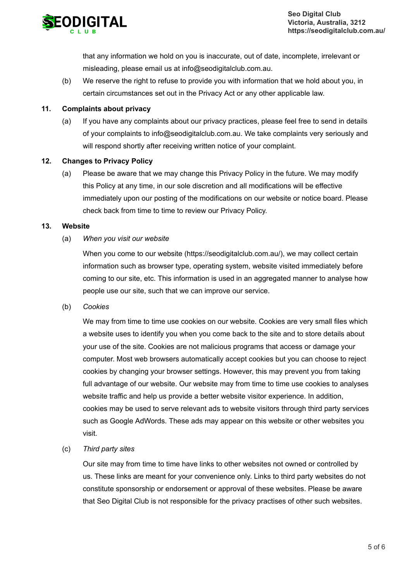

that any information we hold on you is inaccurate, out of date, incomplete, irrelevant or misleading, please email us at info@seodigitalclub.com.au.

(b) We reserve the right to refuse to provide you with information that we hold about you, in certain circumstances set out in the Privacy Act or any other applicable law.

#### **11. Complaints about privacy**

(a) If you have any complaints about our privacy practices, please feel free to send in details of your complaints to info@seodigitalclub.com.au. We take complaints very seriously and will respond shortly after receiving written notice of your complaint.

#### **12. Changes to Privacy Policy**

(a) Please be aware that we may change this Privacy Policy in the future. We may modify this Policy at any time, in our sole discretion and all modifications will be effective immediately upon our posting of the modifications on our website or notice board. Please check back from time to time to review our Privacy Policy.

#### **13. Website**

(a) *When you visit our website*

> When you come to our website (https://seodigitalclub.com.au/), we may collect certain information such as browser type, operating system, website visited immediately before coming to our site, etc. This information is used in an aggregated manner to analyse how people use our site, such that we can improve our service.

(b) *Cookies*

> We may from time to time use cookies on our website. Cookies are very small files which a website uses to identify you when you come back to the site and to store details about your use of the site. Cookies are not malicious programs that access or damage your computer. Most web browsers automatically accept cookies but you can choose to reject cookies by changing your browser settings. However, this may prevent you from taking full advantage of our website. Our website may from time to time use cookies to analyses website traffic and help us provide a better website visitor experience. In addition, cookies may be used to serve relevant ads to website visitors through third party services such as Google AdWords. These ads may appear on this website or other websites you visit.

(c) *Third party sites*

> Our site may from time to time have links to other websites not owned or controlled by us. These links are meant for your convenience only. Links to third party websites do not constitute sponsorship or endorsement or approval of these websites. Please be aware that Seo Digital Club is not responsible for the privacy practises of other such websites.